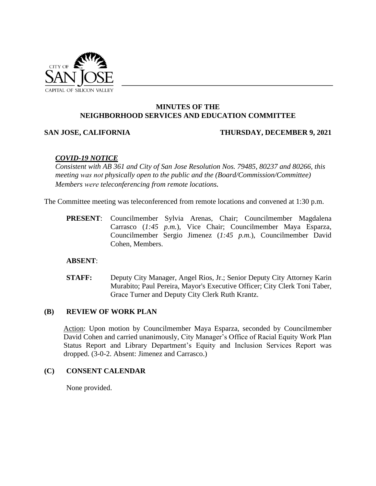

# **MINUTES OF THE NEIGHBORHOOD SERVICES AND EDUCATION COMMITTEE**

### **SAN JOSE, CALIFORNIA THURSDAY, DECEMBER 9, 2021**

## *COVID-19 NOTICE*

*Consistent with AB 361 and City of San Jose Resolution Nos. 79485, 80237 and 80266, this meeting was not physically open to the public and the (Board/Commission/Committee) Members were teleconferencing from remote locations.* 

The Committee meeting was teleconferenced from remote locations and convened at 1:30 p.m.

**PRESENT**: Councilmember Sylvia Arenas, Chair; Councilmember Magdalena Carrasco (*1:45 p.m.*), Vice Chair; Councilmember Maya Esparza, Councilmember Sergio Jimenez (*1:45 p.m.*), Councilmember David Cohen, Members.

### **ABSENT**:

**STAFF:** Deputy City Manager, Angel Rios, Jr.; Senior Deputy City Attorney Karin Murabito; Paul Pereira, Mayor's Executive Officer; City Clerk Toni Taber, Grace Turner and Deputy City Clerk Ruth Krantz.

### **(B) REVIEW OF WORK PLAN**

Action: Upon motion by Councilmember Maya Esparza, seconded by Councilmember David Cohen and carried unanimously, City Manager's Office of Racial Equity Work Plan Status Report and Library Department's Equity and Inclusion Services Report was dropped. (3-0-2. Absent: Jimenez and Carrasco.)

### **(C) CONSENT CALENDAR**

None provided.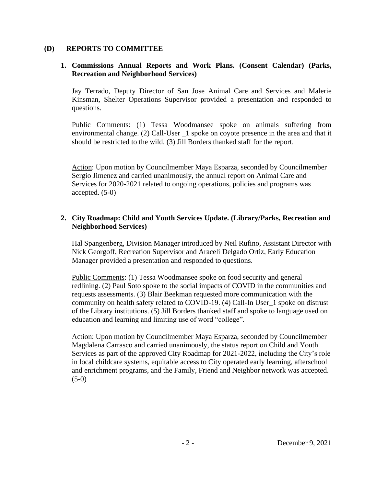### **(D) REPORTS TO COMMITTEE**

## **1. Commissions Annual Reports and Work Plans. (Consent Calendar) (Parks, Recreation and Neighborhood Services)**

Jay Terrado, Deputy Director of San Jose Animal Care and Services and Malerie Kinsman, Shelter Operations Supervisor provided a presentation and responded to questions.

Public Comments: (1) Tessa Woodmansee spoke on animals suffering from environmental change. (2) Call-User \_1 spoke on coyote presence in the area and that it should be restricted to the wild. (3) Jill Borders thanked staff for the report.

Action: Upon motion by Councilmember Maya Esparza, seconded by Councilmember Sergio Jimenez and carried unanimously, the annual report on Animal Care and Services for 2020-2021 related to ongoing operations, policies and programs was accepted. (5-0)

## **2. City Roadmap: Child and Youth Services Update. (Library/Parks, Recreation and Neighborhood Services)**

Hal Spangenberg, Division Manager introduced by Neil Rufino, Assistant Director with Nick Georgoff, Recreation Supervisor and Araceli Delgado Ortiz, Early Education Manager provided a presentation and responded to questions.

Public Comments: (1) Tessa Woodmansee spoke on food security and general redlining. (2) Paul Soto spoke to the social impacts of COVID in the communities and requests assessments. (3) Blair Beekman requested more communication with the community on health safety related to COVID-19. (4) Call-In User\_1 spoke on distrust of the Library institutions. (5) Jill Borders thanked staff and spoke to language used on education and learning and limiting use of word "college".

Action: Upon motion by Councilmember Maya Esparza, seconded by Councilmember Magdalena Carrasco and carried unanimously, the status report on Child and Youth Services as part of the approved City Roadmap for 2021-2022, including the City's role in local childcare systems, equitable access to City operated early learning, afterschool and enrichment programs, and the Family, Friend and Neighbor network was accepted.  $(5-0)$